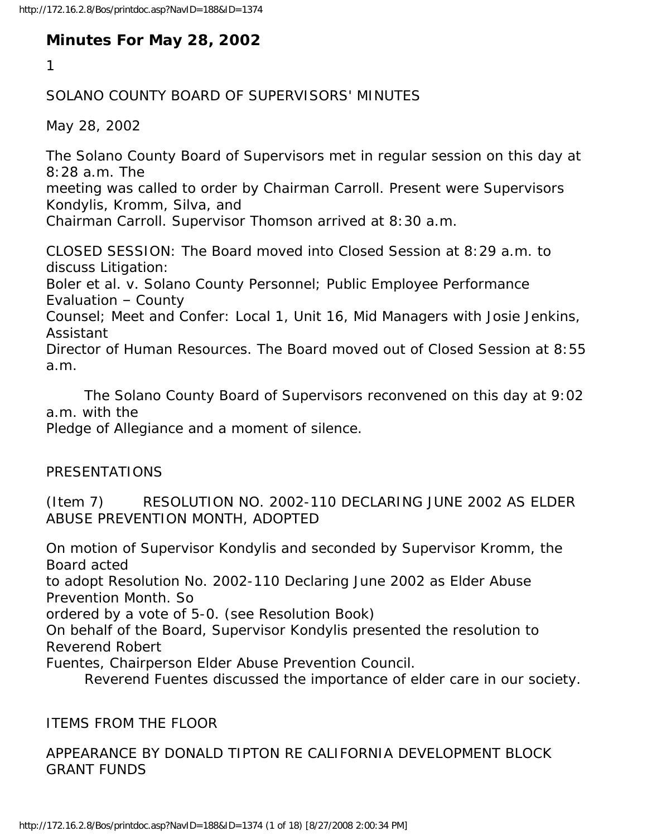# **Minutes For May 28, 2002**

1

### SOLANO COUNTY BOARD OF SUPERVISORS' MINUTES

May 28, 2002

The Solano County Board of Supervisors met in regular session on this day at 8:28 a.m. The

meeting was called to order by Chairman Carroll. Present were Supervisors Kondylis, Kromm, Silva, and

Chairman Carroll. Supervisor Thomson arrived at 8:30 a.m.

CLOSED SESSION: The Board moved into Closed Session at 8:29 a.m. to discuss Litigation:

Boler et al. v. Solano County Personnel; Public Employee Performance Evaluation – County

Counsel; Meet and Confer: Local 1, Unit 16, Mid Managers with Josie Jenkins, Assistant

Director of Human Resources. The Board moved out of Closed Session at 8:55 a.m.

 The Solano County Board of Supervisors reconvened on this day at 9:02 a.m. with the

Pledge of Allegiance and a moment of silence.

#### PRESENTATIONS

(Item 7) RESOLUTION NO. 2002-110 DECLARING JUNE 2002 AS ELDER ABUSE PREVENTION MONTH, ADOPTED

On motion of Supervisor Kondylis and seconded by Supervisor Kromm, the Board acted

to adopt Resolution No. 2002-110 Declaring June 2002 as Elder Abuse Prevention Month. So

ordered by a vote of 5-0. (see Resolution Book)

On behalf of the Board, Supervisor Kondylis presented the resolution to Reverend Robert

Fuentes, Chairperson Elder Abuse Prevention Council.

Reverend Fuentes discussed the importance of elder care in our society.

#### ITEMS FROM THE FLOOR

## APPEARANCE BY DONALD TIPTON RE CALIFORNIA DEVELOPMENT BLOCK GRANT FUNDS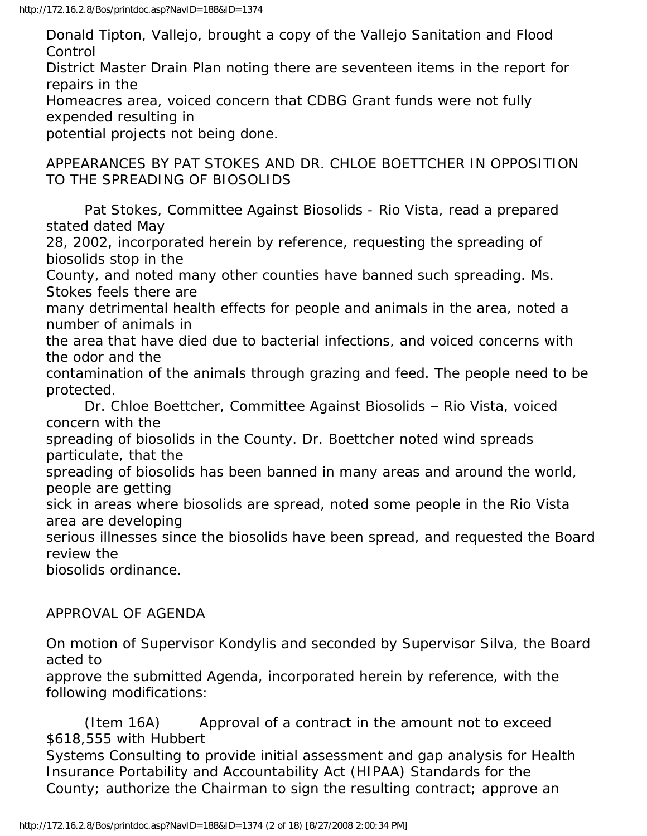Donald Tipton, Vallejo, brought a copy of the Vallejo Sanitation and Flood Control

District Master Drain Plan noting there are seventeen items in the report for repairs in the

Homeacres area, voiced concern that CDBG Grant funds were not fully expended resulting in

potential projects not being done.

APPEARANCES BY PAT STOKES AND DR. CHLOE BOETTCHER IN OPPOSITION TO THE SPREADING OF BIOSOLIDS

 Pat Stokes, Committee Against Biosolids - Rio Vista, read a prepared stated dated May

28, 2002, incorporated herein by reference, requesting the spreading of biosolids stop in the

County, and noted many other counties have banned such spreading. Ms. Stokes feels there are

many detrimental health effects for people and animals in the area, noted a number of animals in

the area that have died due to bacterial infections, and voiced concerns with the odor and the

contamination of the animals through grazing and feed. The people need to be protected.

 Dr. Chloe Boettcher, Committee Against Biosolids – Rio Vista, voiced concern with the

spreading of biosolids in the County. Dr. Boettcher noted wind spreads particulate, that the

spreading of biosolids has been banned in many areas and around the world, people are getting

sick in areas where biosolids are spread, noted some people in the Rio Vista area are developing

serious illnesses since the biosolids have been spread, and requested the Board review the

biosolids ordinance.

#### APPROVAL OF AGENDA

On motion of Supervisor Kondylis and seconded by Supervisor Silva, the Board acted to

approve the submitted Agenda, incorporated herein by reference, with the following modifications:

 (Item 16A) Approval of a contract in the amount not to exceed \$618,555 with Hubbert

Systems Consulting to provide initial assessment and gap analysis for Health Insurance Portability and Accountability Act (HIPAA) Standards for the County; authorize the Chairman to sign the resulting contract; approve an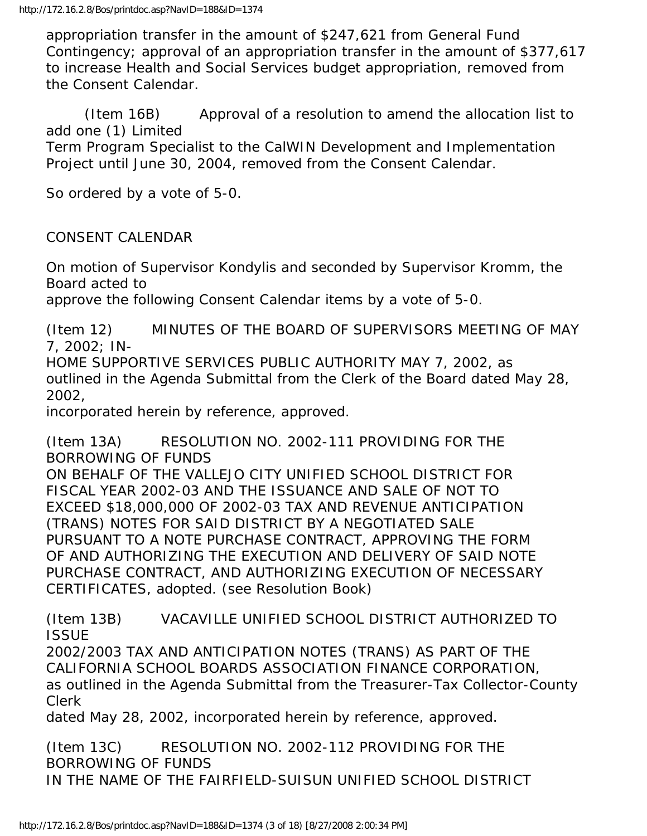appropriation transfer in the amount of \$247,621 from General Fund Contingency; approval of an appropriation transfer in the amount of \$377,617 to increase Health and Social Services budget appropriation, removed from the Consent Calendar.

 (Item 16B) Approval of a resolution to amend the allocation list to add one (1) Limited Term Program Specialist to the CalWIN Development and Implementation Project until June 30, 2004, removed from the Consent Calendar.

So ordered by a vote of 5-0.

CONSENT CALENDAR

On motion of Supervisor Kondylis and seconded by Supervisor Kromm, the Board acted to

approve the following Consent Calendar items by a vote of 5-0.

(Item 12) MINUTES OF THE BOARD OF SUPERVISORS MEETING OF MAY 7, 2002; IN-

HOME SUPPORTIVE SERVICES PUBLIC AUTHORITY MAY 7, 2002, as outlined in the Agenda Submittal from the Clerk of the Board dated May 28, 2002,

incorporated herein by reference, approved.

(Item 13A) RESOLUTION NO. 2002-111 PROVIDING FOR THE BORROWING OF FUNDS ON BEHALF OF THE VALLEJO CITY UNIFIED SCHOOL DISTRICT FOR FISCAL YEAR 2002-03 AND THE ISSUANCE AND SALE OF NOT TO EXCEED \$18,000,000 OF 2002-03 TAX AND REVENUE ANTICIPATION (TRANS) NOTES FOR SAID DISTRICT BY A NEGOTIATED SALE PURSUANT TO A NOTE PURCHASE CONTRACT, APPROVING THE FORM OF AND AUTHORIZING THE EXECUTION AND DELIVERY OF SAID NOTE PURCHASE CONTRACT, AND AUTHORIZING EXECUTION OF NECESSARY CERTIFICATES, adopted. (see Resolution Book)

(Item 13B) VACAVILLE UNIFIED SCHOOL DISTRICT AUTHORIZED TO **ISSUE** 

2002/2003 TAX AND ANTICIPATION NOTES (TRANS) AS PART OF THE CALIFORNIA SCHOOL BOARDS ASSOCIATION FINANCE CORPORATION, as outlined in the Agenda Submittal from the Treasurer-Tax Collector-County Clerk

dated May 28, 2002, incorporated herein by reference, approved.

(Item 13C) RESOLUTION NO. 2002-112 PROVIDING FOR THE BORROWING OF FUNDS IN THE NAME OF THE FAIRFIELD-SUISUN UNIFIED SCHOOL DISTRICT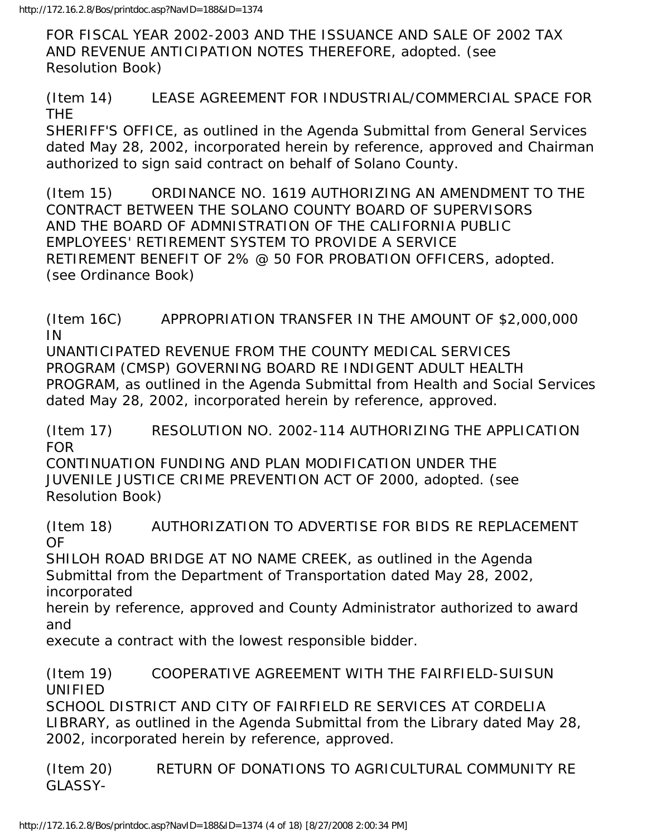FOR FISCAL YEAR 2002-2003 AND THE ISSUANCE AND SALE OF 2002 TAX AND REVENUE ANTICIPATION NOTES THEREFORE, adopted. (see Resolution Book)

(Item 14) LEASE AGREEMENT FOR INDUSTRIAL/COMMERCIAL SPACE FOR THE

SHERIFF'S OFFICE, as outlined in the Agenda Submittal from General Services dated May 28, 2002, incorporated herein by reference, approved and Chairman authorized to sign said contract on behalf of Solano County.

(Item 15) ORDINANCE NO. 1619 AUTHORIZING AN AMENDMENT TO THE CONTRACT BETWEEN THE SOLANO COUNTY BOARD OF SUPERVISORS AND THE BOARD OF ADMNISTRATION OF THE CALIFORNIA PUBLIC EMPLOYEES' RETIREMENT SYSTEM TO PROVIDE A SERVICE RETIREMENT BENEFIT OF 2% @ 50 FOR PROBATION OFFICERS, adopted. (see Ordinance Book)

(Item 16C) APPROPRIATION TRANSFER IN THE AMOUNT OF \$2,000,000 IN

UNANTICIPATED REVENUE FROM THE COUNTY MEDICAL SERVICES PROGRAM (CMSP) GOVERNING BOARD RE INDIGENT ADULT HEALTH PROGRAM, as outlined in the Agenda Submittal from Health and Social Services dated May 28, 2002, incorporated herein by reference, approved.

(Item 17) RESOLUTION NO. 2002-114 AUTHORIZING THE APPLICATION FOR

CONTINUATION FUNDING AND PLAN MODIFICATION UNDER THE JUVENILE JUSTICE CRIME PREVENTION ACT OF 2000, adopted. (see Resolution Book)

(Item 18) AUTHORIZATION TO ADVERTISE FOR BIDS RE REPLACEMENT OF

SHILOH ROAD BRIDGE AT NO NAME CREEK, as outlined in the Agenda Submittal from the Department of Transportation dated May 28, 2002, incorporated

herein by reference, approved and County Administrator authorized to award and

execute a contract with the lowest responsible bidder.

(Item 19) COOPERATIVE AGREEMENT WITH THE FAIRFIELD-SUISUN UNIFIED

SCHOOL DISTRICT AND CITY OF FAIRFIELD RE SERVICES AT CORDELIA LIBRARY, as outlined in the Agenda Submittal from the Library dated May 28, 2002, incorporated herein by reference, approved.

(Item 20) RETURN OF DONATIONS TO AGRICULTURAL COMMUNITY RE GLASSY-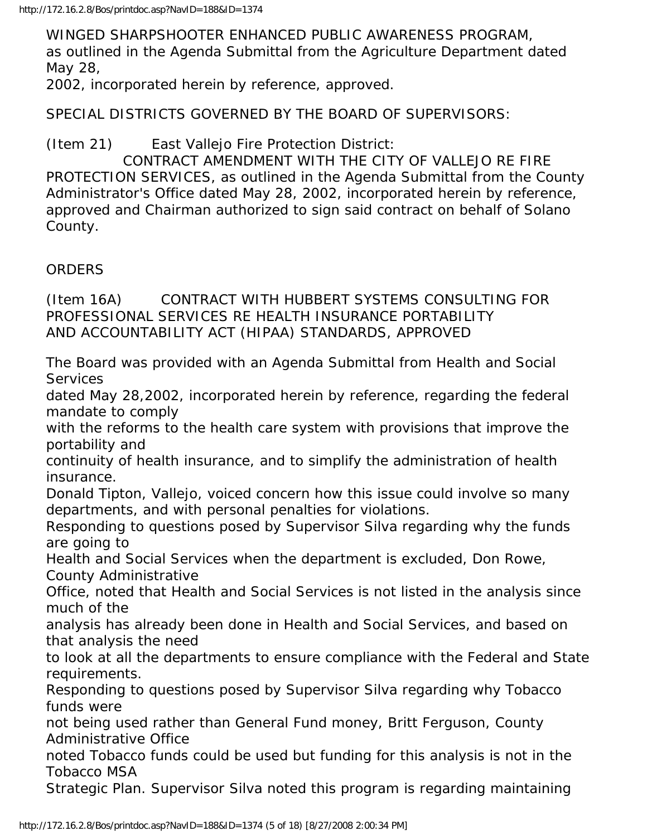WINGED SHARPSHOOTER ENHANCED PUBLIC AWARENESS PROGRAM, as outlined in the Agenda Submittal from the Agriculture Department dated May 28,

2002, incorporated herein by reference, approved.

SPECIAL DISTRICTS GOVERNED BY THE BOARD OF SUPERVISORS:

(Item 21) East Vallejo Fire Protection District:

 CONTRACT AMENDMENT WITH THE CITY OF VALLEJO RE FIRE PROTECTION SERVICES, as outlined in the Agenda Submittal from the County Administrator's Office dated May 28, 2002, incorporated herein by reference, approved and Chairman authorized to sign said contract on behalf of Solano County.

# ORDERS

(Item 16A) CONTRACT WITH HUBBERT SYSTEMS CONSULTING FOR PROFESSIONAL SERVICES RE HEALTH INSURANCE PORTABILITY AND ACCOUNTABILITY ACT (HIPAA) STANDARDS, APPROVED

The Board was provided with an Agenda Submittal from Health and Social **Services** 

dated May 28,2002, incorporated herein by reference, regarding the federal mandate to comply

with the reforms to the health care system with provisions that improve the portability and

continuity of health insurance, and to simplify the administration of health insurance.

Donald Tipton, Vallejo, voiced concern how this issue could involve so many departments, and with personal penalties for violations.

Responding to questions posed by Supervisor Silva regarding why the funds are going to

Health and Social Services when the department is excluded, Don Rowe, County Administrative

Office, noted that Health and Social Services is not listed in the analysis since much of the

analysis has already been done in Health and Social Services, and based on that analysis the need

to look at all the departments to ensure compliance with the Federal and State requirements.

Responding to questions posed by Supervisor Silva regarding why Tobacco funds were

not being used rather than General Fund money, Britt Ferguson, County Administrative Office

noted Tobacco funds could be used but funding for this analysis is not in the Tobacco MSA

Strategic Plan. Supervisor Silva noted this program is regarding maintaining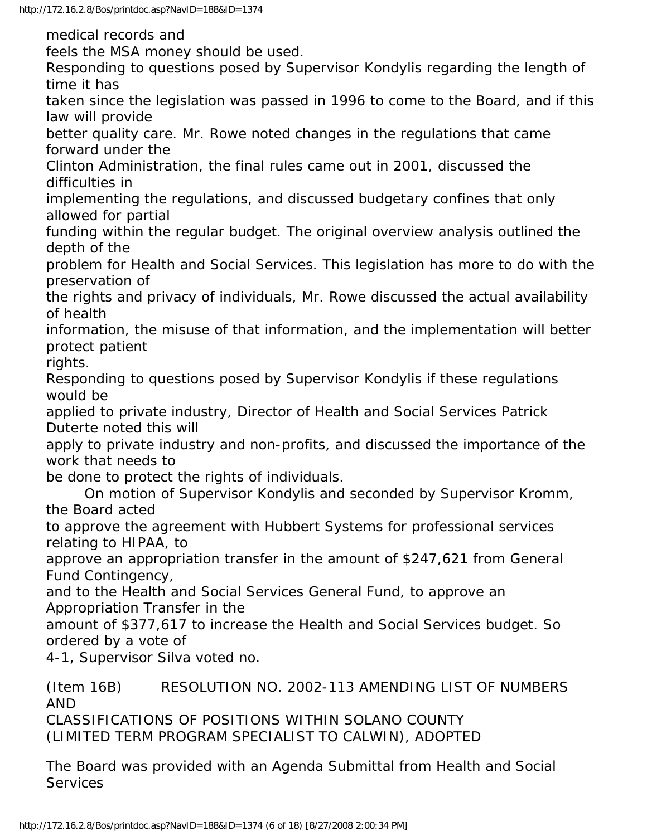medical records and

feels the MSA money should be used.

Responding to questions posed by Supervisor Kondylis regarding the length of time it has

taken since the legislation was passed in 1996 to come to the Board, and if this law will provide

better quality care. Mr. Rowe noted changes in the regulations that came forward under the

Clinton Administration, the final rules came out in 2001, discussed the difficulties in

implementing the regulations, and discussed budgetary confines that only allowed for partial

funding within the regular budget. The original overview analysis outlined the depth of the

problem for Health and Social Services. This legislation has more to do with the preservation of

the rights and privacy of individuals, Mr. Rowe discussed the actual availability of health

information, the misuse of that information, and the implementation will better protect patient

rights.

Responding to questions posed by Supervisor Kondylis if these regulations would be

applied to private industry, Director of Health and Social Services Patrick Duterte noted this will

apply to private industry and non-profits, and discussed the importance of the work that needs to

be done to protect the rights of individuals.

 On motion of Supervisor Kondylis and seconded by Supervisor Kromm, the Board acted

to approve the agreement with Hubbert Systems for professional services relating to HIPAA, to

approve an appropriation transfer in the amount of \$247,621 from General Fund Contingency,

and to the Health and Social Services General Fund, to approve an Appropriation Transfer in the

amount of \$377,617 to increase the Health and Social Services budget. So ordered by a vote of

4-1, Supervisor Silva voted no.

(Item 16B) RESOLUTION NO. 2002-113 AMENDING LIST OF NUMBERS AND CLASSIFICATIONS OF POSITIONS WITHIN SOLANO COUNTY

(LIMITED TERM PROGRAM SPECIALIST TO CALWIN), ADOPTED

The Board was provided with an Agenda Submittal from Health and Social **Services**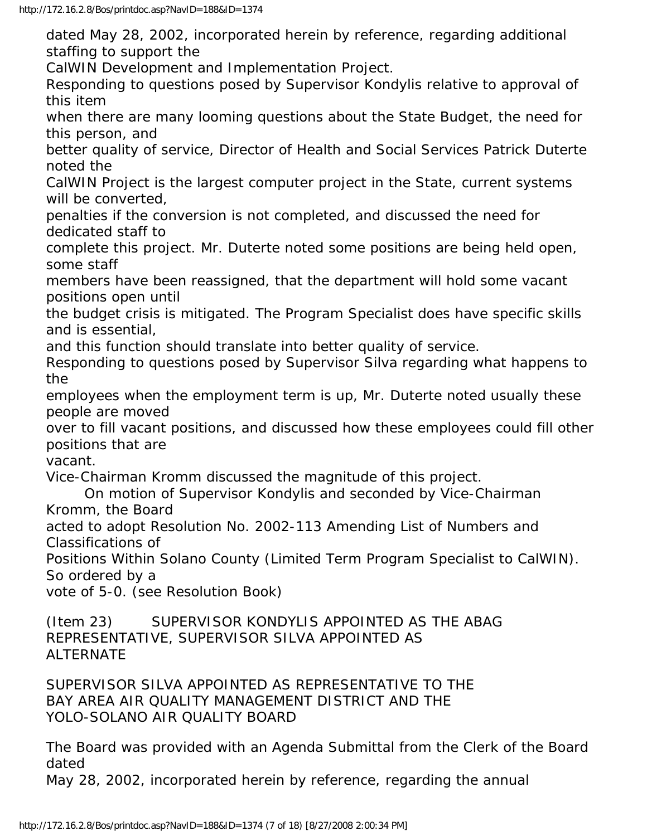dated May 28, 2002, incorporated herein by reference, regarding additional staffing to support the

CalWIN Development and Implementation Project.

Responding to questions posed by Supervisor Kondylis relative to approval of this item

when there are many looming questions about the State Budget, the need for this person, and

better quality of service, Director of Health and Social Services Patrick Duterte noted the

CalWIN Project is the largest computer project in the State, current systems will be converted,

penalties if the conversion is not completed, and discussed the need for dedicated staff to

complete this project. Mr. Duterte noted some positions are being held open, some staff

members have been reassigned, that the department will hold some vacant positions open until

the budget crisis is mitigated. The Program Specialist does have specific skills and is essential,

and this function should translate into better quality of service.

Responding to questions posed by Supervisor Silva regarding what happens to the

employees when the employment term is up, Mr. Duterte noted usually these people are moved

over to fill vacant positions, and discussed how these employees could fill other positions that are

vacant.

Vice-Chairman Kromm discussed the magnitude of this project.

 On motion of Supervisor Kondylis and seconded by Vice-Chairman Kromm, the Board

acted to adopt Resolution No. 2002-113 Amending List of Numbers and Classifications of

Positions Within Solano County (Limited Term Program Specialist to CalWIN). So ordered by a

vote of 5-0. (see Resolution Book)

(Item 23) SUPERVISOR KONDYLIS APPOINTED AS THE ABAG REPRESENTATIVE, SUPERVISOR SILVA APPOINTED AS ALTERNATE

SUPERVISOR SILVA APPOINTED AS REPRESENTATIVE TO THE BAY AREA AIR QUALITY MANAGEMENT DISTRICT AND THE YOLO-SOLANO AIR QUALITY BOARD

The Board was provided with an Agenda Submittal from the Clerk of the Board dated

May 28, 2002, incorporated herein by reference, regarding the annual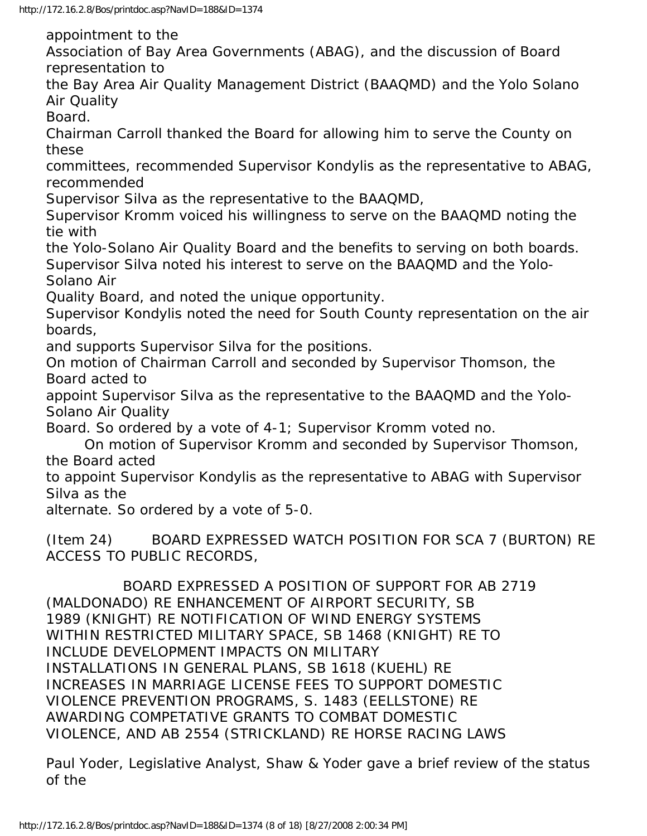http://172.16.2.8/Bos/printdoc.asp?NavID=188&ID=1374

appointment to the

Association of Bay Area Governments (ABAG), and the discussion of Board representation to

the Bay Area Air Quality Management District (BAAQMD) and the Yolo Solano Air Quality

Board.

Chairman Carroll thanked the Board for allowing him to serve the County on these

committees, recommended Supervisor Kondylis as the representative to ABAG, recommended

Supervisor Silva as the representative to the BAAQMD,

Supervisor Kromm voiced his willingness to serve on the BAAQMD noting the tie with

the Yolo-Solano Air Quality Board and the benefits to serving on both boards. Supervisor Silva noted his interest to serve on the BAAQMD and the Yolo-Solano Air

Quality Board, and noted the unique opportunity.

Supervisor Kondylis noted the need for South County representation on the air boards,

and supports Supervisor Silva for the positions.

On motion of Chairman Carroll and seconded by Supervisor Thomson, the Board acted to

appoint Supervisor Silva as the representative to the BAAQMD and the Yolo-Solano Air Quality

Board. So ordered by a vote of 4-1; Supervisor Kromm voted no.

 On motion of Supervisor Kromm and seconded by Supervisor Thomson, the Board acted

to appoint Supervisor Kondylis as the representative to ABAG with Supervisor Silva as the

alternate. So ordered by a vote of 5-0.

(Item 24) BOARD EXPRESSED WATCH POSITION FOR SCA 7 (BURTON) RE ACCESS TO PUBLIC RECORDS,

 BOARD EXPRESSED A POSITION OF SUPPORT FOR AB 2719 (MALDONADO) RE ENHANCEMENT OF AIRPORT SECURITY, SB 1989 (KNIGHT) RE NOTIFICATION OF WIND ENERGY SYSTEMS WITHIN RESTRICTED MILITARY SPACE, SB 1468 (KNIGHT) RE TO INCLUDE DEVELOPMENT IMPACTS ON MILITARY INSTALLATIONS IN GENERAL PLANS, SB 1618 (KUEHL) RE INCREASES IN MARRIAGE LICENSE FEES TO SUPPORT DOMESTIC VIOLENCE PREVENTION PROGRAMS, S. 1483 (EELLSTONE) RE AWARDING COMPETATIVE GRANTS TO COMBAT DOMESTIC VIOLENCE, AND AB 2554 (STRICKLAND) RE HORSE RACING LAWS

Paul Yoder, Legislative Analyst, Shaw & Yoder gave a brief review of the status of the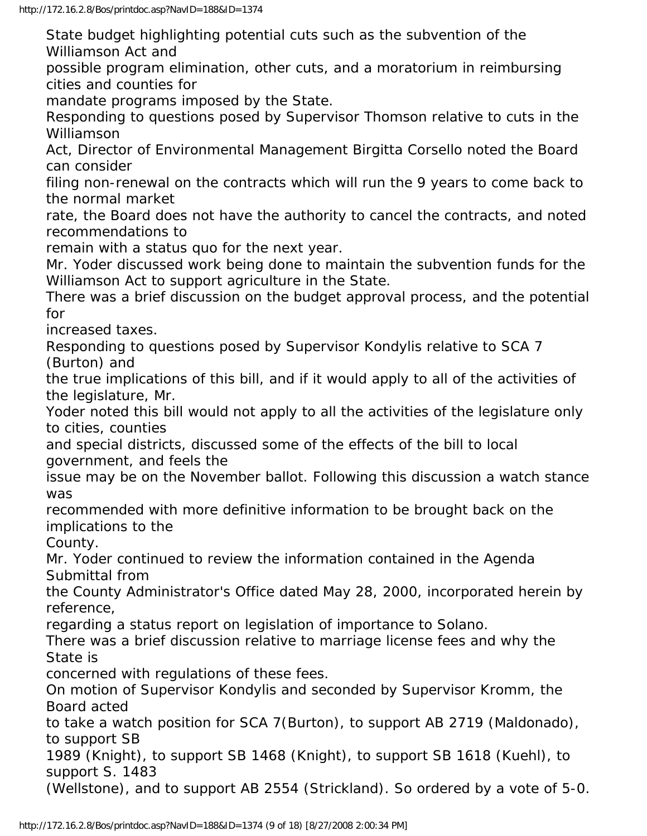State budget highlighting potential cuts such as the subvention of the Williamson Act and

possible program elimination, other cuts, and a moratorium in reimbursing cities and counties for

mandate programs imposed by the State.

Responding to questions posed by Supervisor Thomson relative to cuts in the Williamson

Act, Director of Environmental Management Birgitta Corsello noted the Board can consider

filing non-renewal on the contracts which will run the 9 years to come back to the normal market

rate, the Board does not have the authority to cancel the contracts, and noted recommendations to

remain with a status quo for the next year.

Mr. Yoder discussed work being done to maintain the subvention funds for the Williamson Act to support agriculture in the State.

There was a brief discussion on the budget approval process, and the potential for

increased taxes.

Responding to questions posed by Supervisor Kondylis relative to SCA 7 (Burton) and

the true implications of this bill, and if it would apply to all of the activities of the legislature, Mr.

Yoder noted this bill would not apply to all the activities of the legislature only to cities, counties

and special districts, discussed some of the effects of the bill to local government, and feels the

issue may be on the November ballot. Following this discussion a watch stance was

recommended with more definitive information to be brought back on the implications to the

County.

Mr. Yoder continued to review the information contained in the Agenda Submittal from

the County Administrator's Office dated May 28, 2000, incorporated herein by reference,

regarding a status report on legislation of importance to Solano.

There was a brief discussion relative to marriage license fees and why the State is

concerned with regulations of these fees.

On motion of Supervisor Kondylis and seconded by Supervisor Kromm, the Board acted

to take a watch position for SCA 7(Burton), to support AB 2719 (Maldonado), to support SB

1989 (Knight), to support SB 1468 (Knight), to support SB 1618 (Kuehl), to support S. 1483

(Wellstone), and to support AB 2554 (Strickland). So ordered by a vote of 5-0.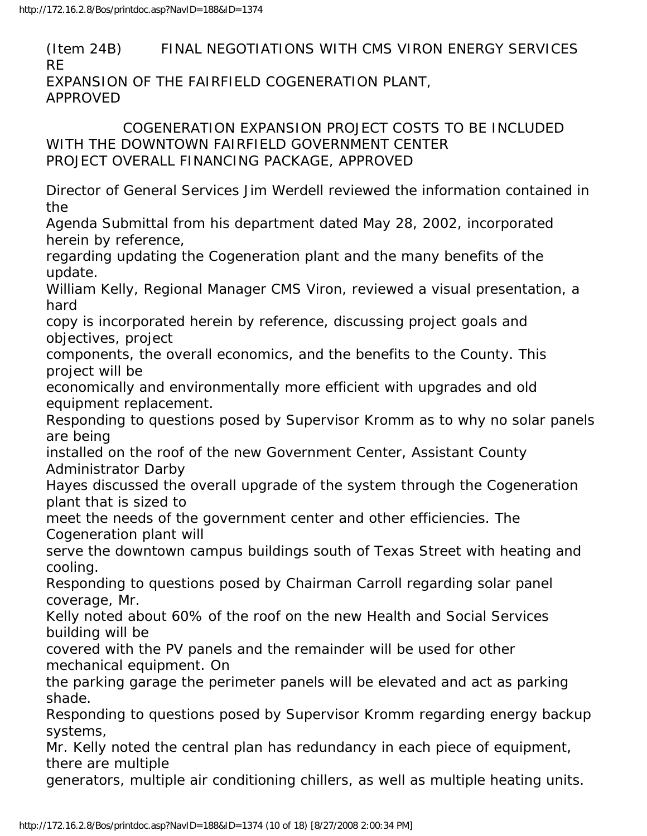(Item 24B) FINAL NEGOTIATIONS WITH CMS VIRON ENERGY SERVICES RE EXPANSION OF THE FAIRFIELD COGENERATION PLANT, APPROVED

 COGENERATION EXPANSION PROJECT COSTS TO BE INCLUDED WITH THE DOWNTOWN FAIRFIELD GOVERNMENT CENTER PROJECT OVERALL FINANCING PACKAGE, APPROVED

Director of General Services Jim Werdell reviewed the information contained in the

Agenda Submittal from his department dated May 28, 2002, incorporated herein by reference,

regarding updating the Cogeneration plant and the many benefits of the update.

William Kelly, Regional Manager CMS Viron, reviewed a visual presentation, a hard

copy is incorporated herein by reference, discussing project goals and objectives, project

components, the overall economics, and the benefits to the County. This project will be

economically and environmentally more efficient with upgrades and old equipment replacement.

Responding to questions posed by Supervisor Kromm as to why no solar panels are being

installed on the roof of the new Government Center, Assistant County Administrator Darby

Hayes discussed the overall upgrade of the system through the Cogeneration plant that is sized to

meet the needs of the government center and other efficiencies. The Cogeneration plant will

serve the downtown campus buildings south of Texas Street with heating and cooling.

Responding to questions posed by Chairman Carroll regarding solar panel coverage, Mr.

Kelly noted about 60% of the roof on the new Health and Social Services building will be

covered with the PV panels and the remainder will be used for other mechanical equipment. On

the parking garage the perimeter panels will be elevated and act as parking shade.

Responding to questions posed by Supervisor Kromm regarding energy backup systems,

Mr. Kelly noted the central plan has redundancy in each piece of equipment, there are multiple

generators, multiple air conditioning chillers, as well as multiple heating units.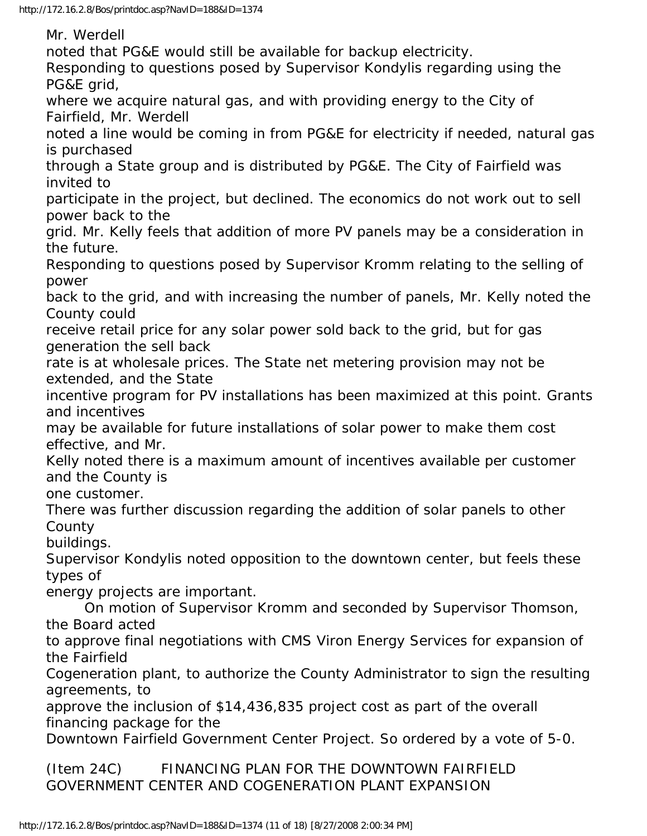Mr. Werdell noted that PG&E would still be available for backup electricity. Responding to questions posed by Supervisor Kondylis regarding using the PG&E grid, where we acquire natural gas, and with providing energy to the City of Fairfield, Mr. Werdell noted a line would be coming in from PG&E for electricity if needed, natural gas is purchased through a State group and is distributed by PG&E. The City of Fairfield was invited to participate in the project, but declined. The economics do not work out to sell power back to the grid. Mr. Kelly feels that addition of more PV panels may be a consideration in the future. Responding to questions posed by Supervisor Kromm relating to the selling of power back to the grid, and with increasing the number of panels, Mr. Kelly noted the County could receive retail price for any solar power sold back to the grid, but for gas generation the sell back rate is at wholesale prices. The State net metering provision may not be extended, and the State incentive program for PV installations has been maximized at this point. Grants and incentives may be available for future installations of solar power to make them cost effective, and Mr. Kelly noted there is a maximum amount of incentives available per customer and the County is one customer. There was further discussion regarding the addition of solar panels to other **County** buildings. Supervisor Kondylis noted opposition to the downtown center, but feels these types of energy projects are important. On motion of Supervisor Kromm and seconded by Supervisor Thomson, the Board acted to approve final negotiations with CMS Viron Energy Services for expansion of the Fairfield Cogeneration plant, to authorize the County Administrator to sign the resulting agreements, to approve the inclusion of \$14,436,835 project cost as part of the overall financing package for the Downtown Fairfield Government Center Project. So ordered by a vote of 5-0.

(Item 24C) FINANCING PLAN FOR THE DOWNTOWN FAIRFIELD GOVERNMENT CENTER AND COGENERATION PLANT EXPANSION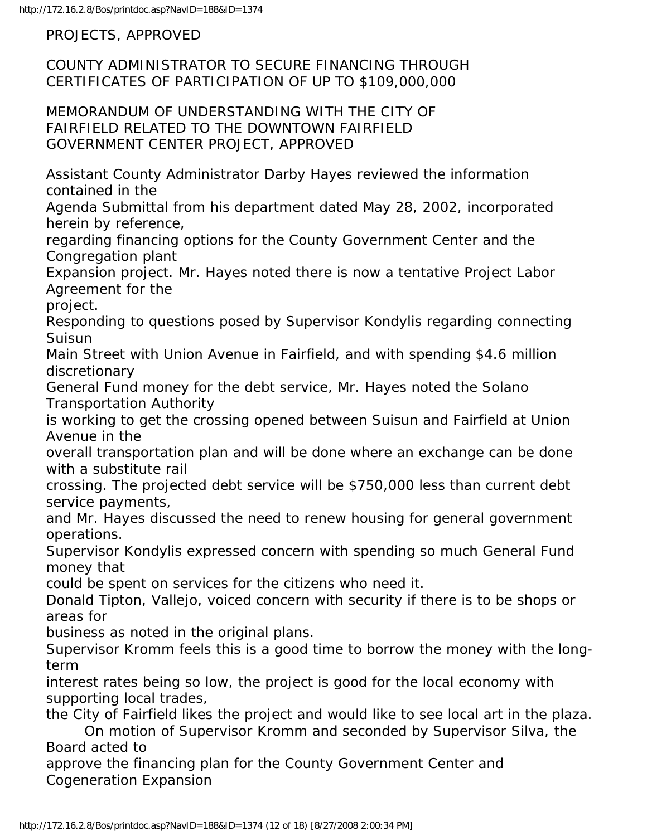PROJECTS, APPROVED

COUNTY ADMINISTRATOR TO SECURE FINANCING THROUGH CERTIFICATES OF PARTICIPATION OF UP TO \$109,000,000

MEMORANDUM OF UNDERSTANDING WITH THE CITY OF FAIRFIELD RELATED TO THE DOWNTOWN FAIRFIELD GOVERNMENT CENTER PROJECT, APPROVED

Assistant County Administrator Darby Hayes reviewed the information contained in the

Agenda Submittal from his department dated May 28, 2002, incorporated herein by reference,

regarding financing options for the County Government Center and the Congregation plant

Expansion project. Mr. Hayes noted there is now a tentative Project Labor Agreement for the

project.

Responding to questions posed by Supervisor Kondylis regarding connecting Suisun

Main Street with Union Avenue in Fairfield, and with spending \$4.6 million discretionary

General Fund money for the debt service, Mr. Hayes noted the Solano Transportation Authority

is working to get the crossing opened between Suisun and Fairfield at Union Avenue in the

overall transportation plan and will be done where an exchange can be done with a substitute rail

crossing. The projected debt service will be \$750,000 less than current debt service payments,

and Mr. Hayes discussed the need to renew housing for general government operations.

Supervisor Kondylis expressed concern with spending so much General Fund money that

could be spent on services for the citizens who need it.

Donald Tipton, Vallejo, voiced concern with security if there is to be shops or areas for

business as noted in the original plans.

Supervisor Kromm feels this is a good time to borrow the money with the longterm

interest rates being so low, the project is good for the local economy with supporting local trades,

the City of Fairfield likes the project and would like to see local art in the plaza. On motion of Supervisor Kromm and seconded by Supervisor Silva, the

Board acted to

approve the financing plan for the County Government Center and Cogeneration Expansion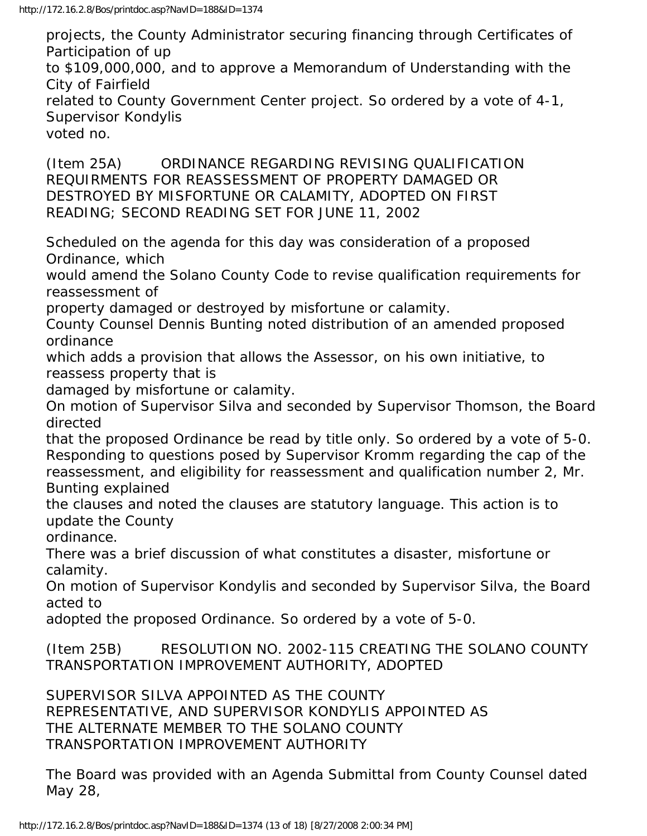projects, the County Administrator securing financing through Certificates of Participation of up

to \$109,000,000, and to approve a Memorandum of Understanding with the City of Fairfield

related to County Government Center project. So ordered by a vote of 4-1, Supervisor Kondylis

voted no.

(Item 25A) ORDINANCE REGARDING REVISING QUALIFICATION REQUIRMENTS FOR REASSESSMENT OF PROPERTY DAMAGED OR DESTROYED BY MISFORTUNE OR CALAMITY, ADOPTED ON FIRST READING; SECOND READING SET FOR JUNE 11, 2002

Scheduled on the agenda for this day was consideration of a proposed Ordinance, which

would amend the Solano County Code to revise qualification requirements for reassessment of

property damaged or destroyed by misfortune or calamity.

County Counsel Dennis Bunting noted distribution of an amended proposed ordinance

which adds a provision that allows the Assessor, on his own initiative, to reassess property that is

damaged by misfortune or calamity.

On motion of Supervisor Silva and seconded by Supervisor Thomson, the Board directed

that the proposed Ordinance be read by title only. So ordered by a vote of 5-0. Responding to questions posed by Supervisor Kromm regarding the cap of the reassessment, and eligibility for reassessment and qualification number 2, Mr. Bunting explained

the clauses and noted the clauses are statutory language. This action is to update the County

ordinance.

There was a brief discussion of what constitutes a disaster, misfortune or calamity.

On motion of Supervisor Kondylis and seconded by Supervisor Silva, the Board acted to

adopted the proposed Ordinance. So ordered by a vote of 5-0.

(Item 25B) RESOLUTION NO. 2002-115 CREATING THE SOLANO COUNTY TRANSPORTATION IMPROVEMENT AUTHORITY, ADOPTED

SUPERVISOR SILVA APPOINTED AS THE COUNTY REPRESENTATIVE, AND SUPERVISOR KONDYLIS APPOINTED AS THE ALTERNATE MEMBER TO THE SOLANO COUNTY TRANSPORTATION IMPROVEMENT AUTHORITY

The Board was provided with an Agenda Submittal from County Counsel dated May 28,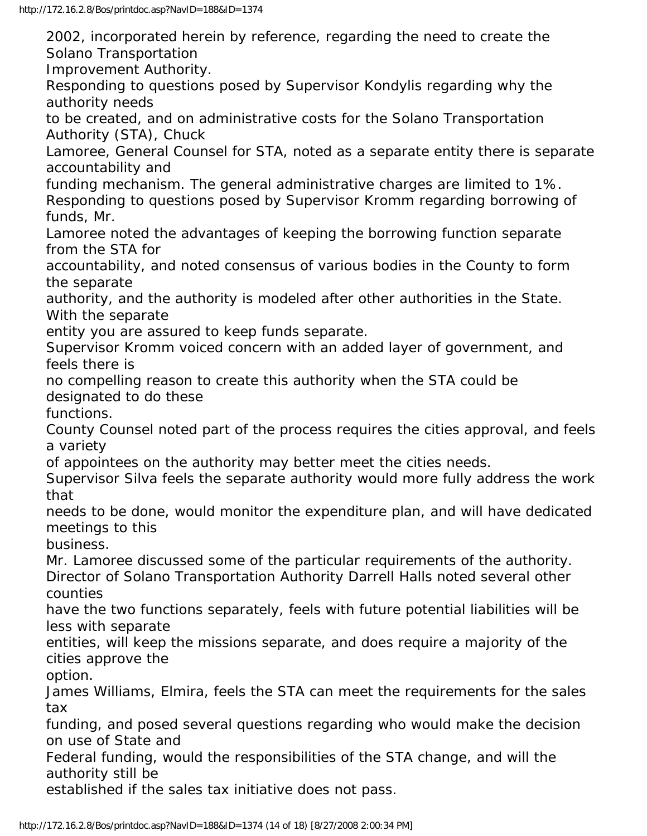2002, incorporated herein by reference, regarding the need to create the Solano Transportation

Improvement Authority.

Responding to questions posed by Supervisor Kondylis regarding why the authority needs

to be created, and on administrative costs for the Solano Transportation Authority (STA), Chuck

Lamoree, General Counsel for STA, noted as a separate entity there is separate accountability and

funding mechanism. The general administrative charges are limited to 1%. Responding to questions posed by Supervisor Kromm regarding borrowing of funds, Mr.

Lamoree noted the advantages of keeping the borrowing function separate from the STA for

accountability, and noted consensus of various bodies in the County to form the separate

authority, and the authority is modeled after other authorities in the State. With the separate

entity you are assured to keep funds separate.

Supervisor Kromm voiced concern with an added layer of government, and feels there is

no compelling reason to create this authority when the STA could be designated to do these

functions.

County Counsel noted part of the process requires the cities approval, and feels a variety

of appointees on the authority may better meet the cities needs.

Supervisor Silva feels the separate authority would more fully address the work that

needs to be done, would monitor the expenditure plan, and will have dedicated meetings to this

business.

Mr. Lamoree discussed some of the particular requirements of the authority. Director of Solano Transportation Authority Darrell Halls noted several other counties

have the two functions separately, feels with future potential liabilities will be less with separate

entities, will keep the missions separate, and does require a majority of the cities approve the

option.

James Williams, Elmira, feels the STA can meet the requirements for the sales tax

funding, and posed several questions regarding who would make the decision on use of State and

Federal funding, would the responsibilities of the STA change, and will the authority still be

established if the sales tax initiative does not pass.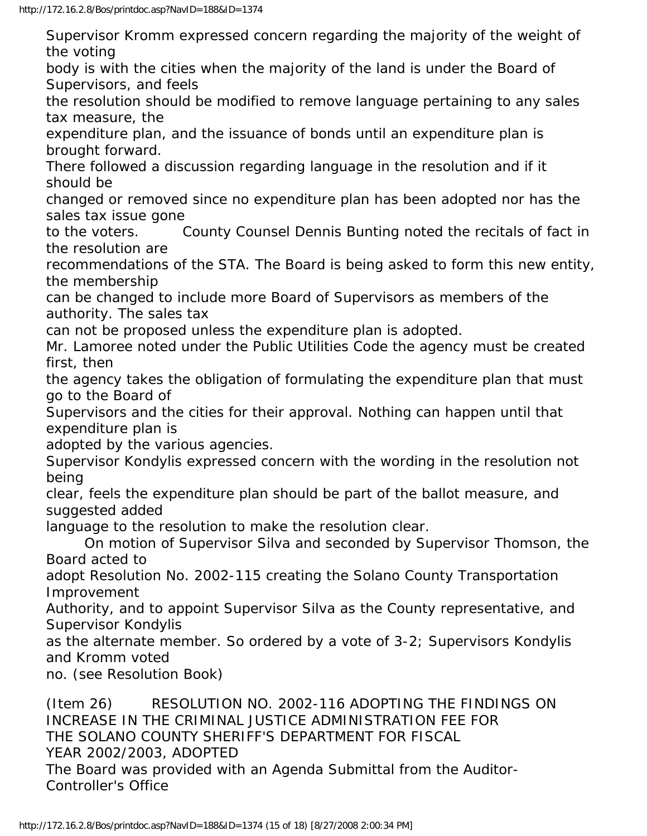Supervisor Kromm expressed concern regarding the majority of the weight of the voting body is with the cities when the majority of the land is under the Board of Supervisors, and feels the resolution should be modified to remove language pertaining to any sales tax measure, the expenditure plan, and the issuance of bonds until an expenditure plan is brought forward. There followed a discussion regarding language in the resolution and if it should be changed or removed since no expenditure plan has been adopted nor has the sales tax issue gone to the voters. County Counsel Dennis Bunting noted the recitals of fact in the resolution are recommendations of the STA. The Board is being asked to form this new entity, the membership can be changed to include more Board of Supervisors as members of the authority. The sales tax can not be proposed unless the expenditure plan is adopted. Mr. Lamoree noted under the Public Utilities Code the agency must be created first, then the agency takes the obligation of formulating the expenditure plan that must go to the Board of Supervisors and the cities for their approval. Nothing can happen until that expenditure plan is adopted by the various agencies. Supervisor Kondylis expressed concern with the wording in the resolution not being clear, feels the expenditure plan should be part of the ballot measure, and suggested added language to the resolution to make the resolution clear. On motion of Supervisor Silva and seconded by Supervisor Thomson, the Board acted to adopt Resolution No. 2002-115 creating the Solano County Transportation Improvement Authority, and to appoint Supervisor Silva as the County representative, and Supervisor Kondylis as the alternate member. So ordered by a vote of 3-2; Supervisors Kondylis and Kromm voted no. (see Resolution Book) (Item 26) RESOLUTION NO. 2002-116 ADOPTING THE FINDINGS ON INCREASE IN THE CRIMINAL JUSTICE ADMINISTRATION FEE FOR

THE SOLANO COUNTY SHERIFF'S DEPARTMENT FOR FISCAL

YEAR 2002/2003, ADOPTED

The Board was provided with an Agenda Submittal from the Auditor-Controller's Office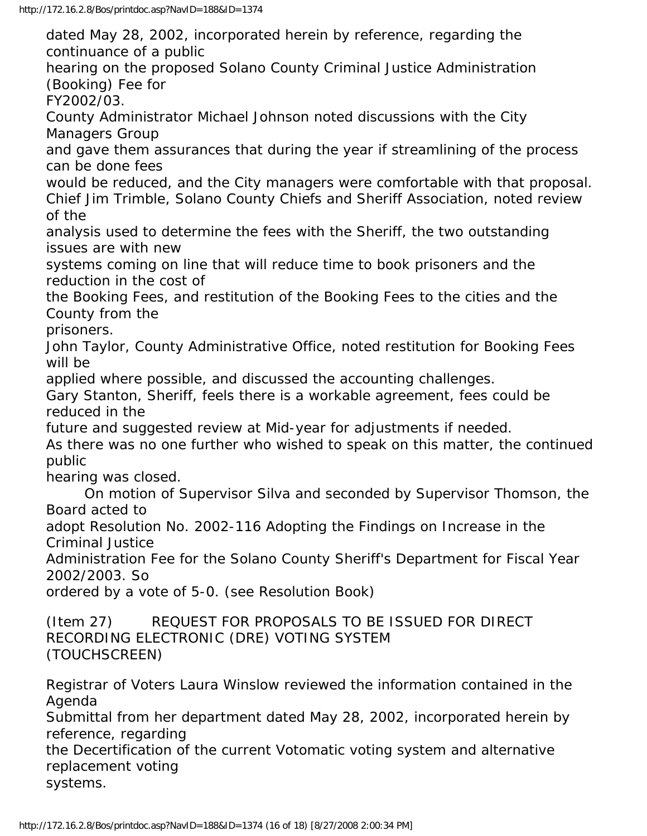dated May 28, 2002, incorporated herein by reference, regarding the continuance of a public hearing on the proposed Solano County Criminal Justice Administration (Booking) Fee for FY2002/03. County Administrator Michael Johnson noted discussions with the City Managers Group and gave them assurances that during the year if streamlining of the process can be done fees would be reduced, and the City managers were comfortable with that proposal. Chief Jim Trimble, Solano County Chiefs and Sheriff Association, noted review of the analysis used to determine the fees with the Sheriff, the two outstanding issues are with new systems coming on line that will reduce time to book prisoners and the reduction in the cost of the Booking Fees, and restitution of the Booking Fees to the cities and the County from the prisoners. John Taylor, County Administrative Office, noted restitution for Booking Fees will be applied where possible, and discussed the accounting challenges. Gary Stanton, Sheriff, feels there is a workable agreement, fees could be reduced in the future and suggested review at Mid-year for adjustments if needed. As there was no one further who wished to speak on this matter, the continued public hearing was closed. On motion of Supervisor Silva and seconded by Supervisor Thomson, the Board acted to adopt Resolution No. 2002-116 Adopting the Findings on Increase in the Criminal Justice Administration Fee for the Solano County Sheriff's Department for Fiscal Year 2002/2003. So ordered by a vote of 5-0. (see Resolution Book) (Item 27) REQUEST FOR PROPOSALS TO BE ISSUED FOR DIRECT RECORDING ELECTRONIC (DRE) VOTING SYSTEM (TOUCHSCREEN) Registrar of Voters Laura Winslow reviewed the information contained in the Agenda Submittal from her department dated May 28, 2002, incorporated herein by reference, regarding the Decertification of the current Votomatic voting system and alternative replacement voting systems.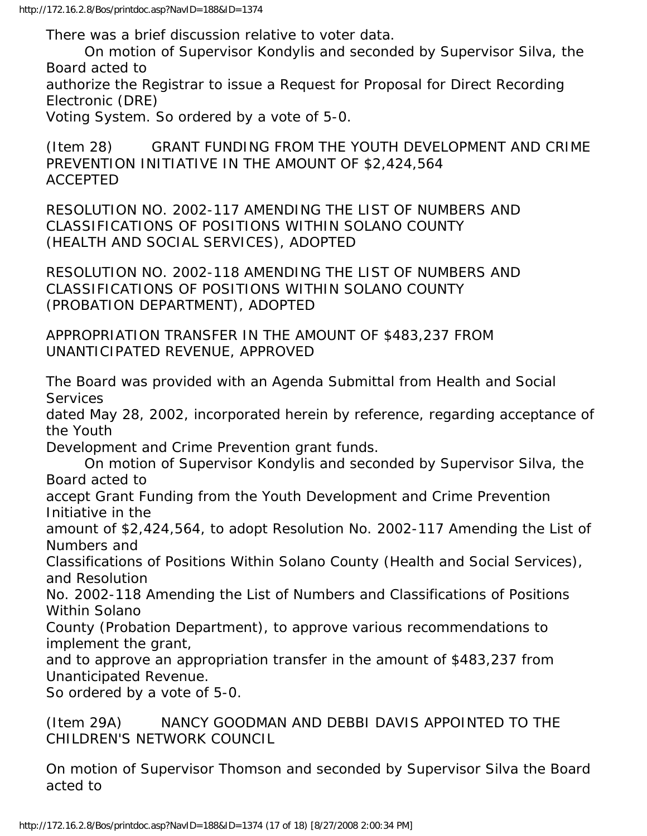There was a brief discussion relative to voter data.

 On motion of Supervisor Kondylis and seconded by Supervisor Silva, the Board acted to

authorize the Registrar to issue a Request for Proposal for Direct Recording Electronic (DRE)

Voting System. So ordered by a vote of 5-0.

(Item 28) GRANT FUNDING FROM THE YOUTH DEVELOPMENT AND CRIME PREVENTION INITIATIVE IN THE AMOUNT OF \$2,424,564 ACCEPTED

RESOLUTION NO. 2002-117 AMENDING THE LIST OF NUMBERS AND CLASSIFICATIONS OF POSITIONS WITHIN SOLANO COUNTY (HEALTH AND SOCIAL SERVICES), ADOPTED

RESOLUTION NO. 2002-118 AMENDING THE LIST OF NUMBERS AND CLASSIFICATIONS OF POSITIONS WITHIN SOLANO COUNTY (PROBATION DEPARTMENT), ADOPTED

APPROPRIATION TRANSFER IN THE AMOUNT OF \$483,237 FROM UNANTICIPATED REVENUE, APPROVED

The Board was provided with an Agenda Submittal from Health and Social **Services** 

dated May 28, 2002, incorporated herein by reference, regarding acceptance of the Youth

Development and Crime Prevention grant funds.

 On motion of Supervisor Kondylis and seconded by Supervisor Silva, the Board acted to

accept Grant Funding from the Youth Development and Crime Prevention Initiative in the

amount of \$2,424,564, to adopt Resolution No. 2002-117 Amending the List of Numbers and

Classifications of Positions Within Solano County (Health and Social Services), and Resolution

No. 2002-118 Amending the List of Numbers and Classifications of Positions Within Solano

County (Probation Department), to approve various recommendations to implement the grant,

and to approve an appropriation transfer in the amount of \$483,237 from Unanticipated Revenue.

So ordered by a vote of 5-0.

(Item 29A) NANCY GOODMAN AND DEBBI DAVIS APPOINTED TO THE CHILDREN'S NETWORK COUNCIL

On motion of Supervisor Thomson and seconded by Supervisor Silva the Board acted to